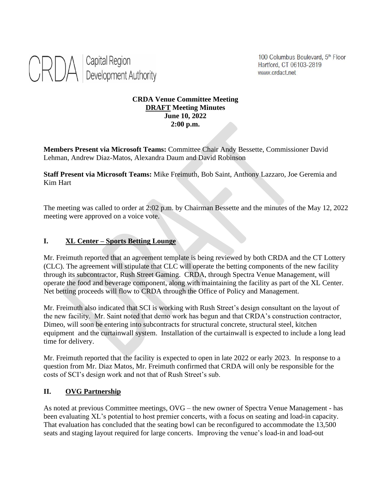

100 Columbus Boulevard, 5th Floor Hartford, CT 06103-2819 www.crdact.net

#### **CRDA Venue Committee Meeting DRAFT Meeting Minutes June 10, 2022 2:00 p.m.**

**Members Present via Microsoft Teams:** Committee Chair Andy Bessette, Commissioner David Lehman, Andrew Diaz-Matos, Alexandra Daum and David Robinson

**Staff Present via Microsoft Teams:** Mike Freimuth, Bob Saint, Anthony Lazzaro, Joe Geremia and Kim Hart

The meeting was called to order at 2:02 p.m. by Chairman Bessette and the minutes of the May 12, 2022 meeting were approved on a voice vote.

### **I. XL Center – Sports Betting Lounge**

Mr. Freimuth reported that an agreement template is being reviewed by both CRDA and the CT Lottery (CLC). The agreement will stipulate that CLC will operate the betting components of the new facility through its subcontractor, Rush Street Gaming. CRDA, through Spectra Venue Management, will operate the food and beverage component, along with maintaining the facility as part of the XL Center. Net betting proceeds will flow to CRDA through the Office of Policy and Management.

Mr. Freimuth also indicated that SCI is working with Rush Street's design consultant on the layout of the new facility. Mr. Saint noted that demo work has begun and that CRDA's construction contractor, Dimeo, will soon be entering into subcontracts for structural concrete, structural steel, kitchen equipment and the curtainwall system. Installation of the curtainwall is expected to include a long lead time for delivery.

Mr. Freimuth reported that the facility is expected to open in late 2022 or early 2023. In response to a question from Mr. Diaz Matos, Mr. Freimuth confirmed that CRDA will only be responsible for the costs of SCI's design work and not that of Rush Street's sub.

#### **II. OVG Partnership**

As noted at previous Committee meetings, OVG – the new owner of Spectra Venue Management - has been evaluating XL's potential to host premier concerts, with a focus on seating and load-in capacity. That evaluation has concluded that the seating bowl can be reconfigured to accommodate the 13,500 seats and staging layout required for large concerts. Improving the venue's load-in and load-out